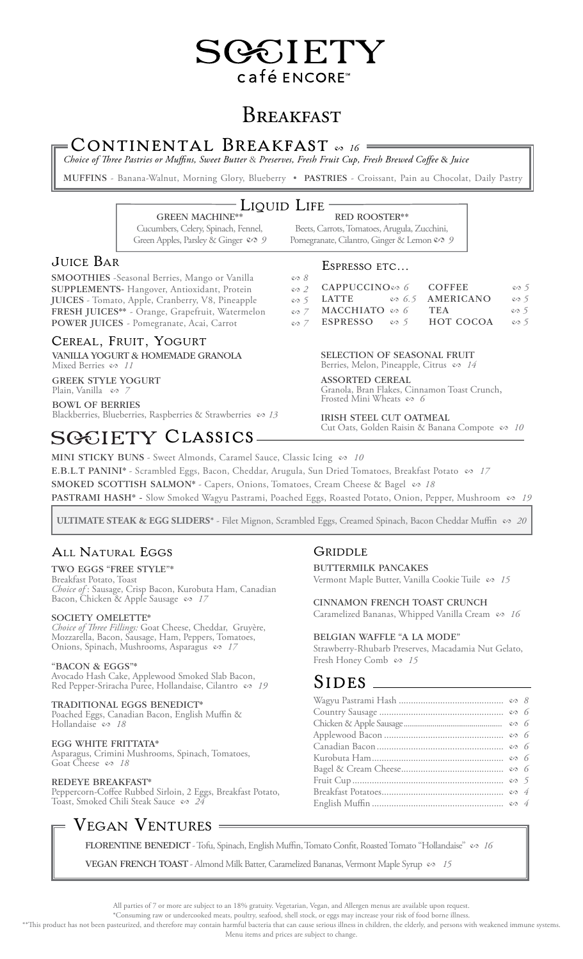# GGIETY café ENCORE™

# **BREAKFAST**

# Continental Breakfast<sup>2</sup>*<sup>16</sup>*

*Choice of Three Pastries or Muffins, Sweet Butter* & *Preserves, Fresh Fruit Cup, Fresh Brewed Coffee* & *Juice*

MUFFINS - Banana-Walnut, Morning Glory, Blueberry . PASTRIES - Croissant, Pain au Chocolat, Daily Pastry

# Liquid Life -

**GREEN MACHINE\*** Cucumbers, Celery, Spinach, Fennel, Green Apples, Parsley & Ginger  $\infty$  9 Red Rooster\*\* Beets, Carrots, Tomatoes, Arugula, Zucchini, Pomegranate, Cilantro, Ginger & Lemon  $\mathcal{O}$  9

# Juice Bar

SMOOTHIES -Seasonal Berries, Mango or Vanilla SUPPLEMENTS- Hangover, Antioxidant, Protein Juices - Tomato, Apple, Cranberry, V8, Pineapple 2 *5* Fresh Juices\*\* - Orange, Grapefruit, Watermelon 2 *7* POWER JUICES - Pomegranate, Acai, Carrot

# Cereal, Fruit, Yogurt

Vanilla Yogurt & Homemade Granola Mixed Berries  $\infty$  11

Greek Style Yogurt Plain, Vanilla  $\infty$  /

Bowl of Berries Blackberries, Blueberries, Raspberries & Strawberries & 13

# SGCIETY CLASSICS-

## Espresso etc...

| ະ⊃ດ |                                         |                                         |            |
|-----|-----------------------------------------|-----------------------------------------|------------|
|     | $\infty$ 2 CAPPUCCINO $\infty$ 6 COFFEE |                                         | $\infty$ 5 |
|     |                                         | $\infty$ 5 LATTE $\infty$ 6.5 AMERICANO | $\infty$ 5 |
|     | $\infty$ 7 MACCHIATO $\infty$ 6 TEA     |                                         | $\infty$ 5 |
|     | $\infty$ 7 ESPRESSO $\infty$ 5          | HOT COCOA                               | $\infty$ 5 |

Selection of Seasonal Fruit

Berries, Melon, Pineapple, Citrus  $\infty$  *14* 

aSSORTED CEREAL Granola, Bran Flakes, Cinnamon Toast Crunch, Frosted Mini Wheats  $\infty$  *6* 

Irish Steel CUT OAtmeal Cut Oats, Golden Raisin & Banana Compote  $\infty$  10

MINI STICKY BUNS - Sweet Almonds, Caramel Sauce, Classic Icing  $\infty$  10

E.B.L.T PANINI\* - Scrambled Eggs, Bacon, Cheddar, Arugula, Sun Dried Tomatoes, Breakfast Potato & 17

SMOKED SCOTTISH SALMON\* - Capers, Onions, Tomatoes, Cream Cheese & Bagel  $\infty$  18

Pastrami Hash\* - Slow Smoked Wagyu Pastrami, Poached Eggs, Roasted Potato, Onion, Pepper, Mushroom 2 *19*

**ULTIMATE STEAK & EGG SLIDERS\*** - Filet Mignon, Scrambled Eggs, Creamed Spinach, Bacon Cheddar Muffin  $\infty$  20

# All Natural Eggs

I L

Two Eggs "Free Style"\*

Breakfast Potato, Toast *Choice of* : Sausage, Crisp Bacon, Kurobuta Ham, Canadian Bacon, Chicken & Apple Sausage & 17

## SOCIETY OMELETTE\*

*Choice of Three Fillings:* Goat Cheese, Cheddar, Gruyère, Mozzarella, Bacon, Sausage, Ham, Peppers, Tomatoes, Onions, Spinach, Mushrooms, Asparagus  $\infty$  17

### "Bacon & Eggs"\*

Avocado Hash Cake, Applewood Smoked Slab Bacon, Red Pepper-Sriracha Puree, Hollandaise, Cilantro & 19

### TRADITIONAL EGGS BENEDICT\*

Poached Eggs, Canadian Bacon, English Muffin & Hollandaise  $\infty$  18

### EGG WHITE FRITTATA\*

Asparagus, Crimini Mushrooms, Spinach, Tomatoes, Goat Cheese  $\infty$  18

### REDEYE BREAKFAST\*

Peppercorn-Coffee Rubbed Sirloin, 2 Eggs, Breakfast Potato, Toast, Smoked Chili Steak Sauce & 24

# VEGAN VENTURES =

FLORENTINE BENEDICT - Tofu, Spinach, English Muffin, Tomato Confit, Roasted Tomato "Hollandaise"  $\infty$  16

**VEGAN FRENCH TOAST** - Almond Milk Batter, Caramelized Bananas, Vermont Maple Syrup  $\infty$  15

All parties of 7 or more are subject to an 18% gratuity. Vegetarian, Vegan, and Allergen menus are available upon request.

\*Consuming raw or undercooked meats, poultry, seafood, shell stock, or eggs may increase your risk of food borne illness.

\*\*This product has not been pasteurized, and therefore may contain harmful bacteria that can cause serious illness in children, the elderly, and persons with weakened immune systems.

Menu items and prices are subject to change.

# Griddle

BUTTERMILK PANCAKES Vermont Maple Butter, Vanilla Cookie Tuile  $\infty$  15

Cinnamon French Toast Crunch Caramelized Bananas, Whipped Vanilla Cream  $\infty$  16

## Belgian Waffle "a LA MODE"

Strawberry-Rhubarb Preserves, Macadamia Nut Gelato, Fresh Honey Comb  $\infty$  15

# SIDES.

|  | $\infty$ 5 |  |
|--|------------|--|
|  |            |  |
|  |            |  |
|  |            |  |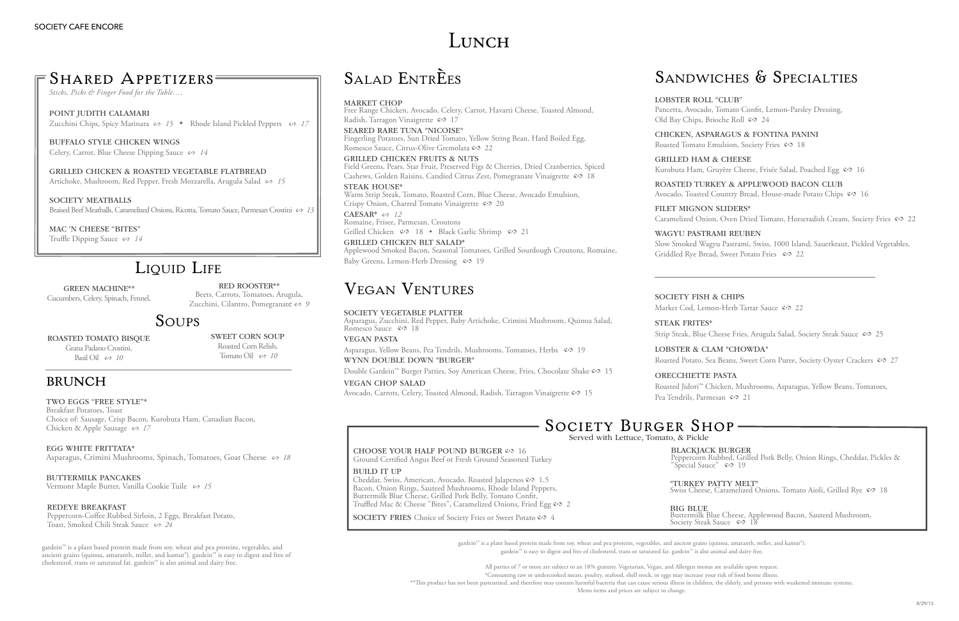All parties of 7 or more are subject to an 18% gratuity. Vegetarian, Vegan, and Allergen menus are available upon request.

\*Consuming raw or undercooked meats, poultry, seafood, shell stock, or eggs may increase your risk of food borne illness. \*\*This product has not been pasteurized, and therefore may contain harmful bacteria that can cause serious illness in children, the elderly, and persons with weakened immune systems.

gardein™ is a plant based protein made from soy, wheat and pea proteins, vegetables, and ancient grains (quinoa, amaranth, millet, and kamut®). gardein™ is easy to digest and free of cholesterol, trans or saturated fat. gardein™ is also animal and dairy free.

Two Eggs "free Style"\* Breakfast Potatoes, Toast Choice of: Sausage, Crisp Bacon, Kurobuta Ham, Canadian Bacon, Chicken & Apple Sausage  $\infty$  17

EGG WHITE FRITTATA\* Asparagus, Crimini Mushrooms, Spinach, Tomatoes, Goat Cheese  $\infty$  18

BUTTERMILK PANCAKES Vermont Maple Butter, Vanilla Cookie Tuile es 15

Menu items and prices are subject to change.

Peppercorn-Coffee Rubbed Sirloin, 2 Eggs, Breakfast Potato, Toast, Smoked Chili Steak Sauce & 24

Chicken, Asparagus & Fontina Panini Roasted Tomato Emulsion, Society Fries  $\mathcal{S}$  18

Grilled Ham & Cheese Kurobuta Ham, Gruyère Cheese, Frisée Salad, Poached Egg & 16

Roasted Turkey & Applewood Bacon Club Avocado, Toasted Country Bread, House-made Potato Chips  $\infty$  16

Filet Mignon Sliders\* Caramelized Onion, Oven Dried Tomato, Horseradish Cream, Society Fries  $\infty$  22

SOCIETY FISH & CHIPS

STEAK FRITES\*

Slow Smoked Wagyu Pastrami, Swiss, 1000 Island, Sauerkraut, Pickled Vegetables, Griddled Rye Bread, Sweet Potato Fries  $\infty$  22

Market Cod, Lemon-Herb Tartar Sauce  $\mathcal{S}$  22

Strip Steak, Blue Cheese Fries, Arugula Salad, Society Steak Sauce  $\infty$  25

oReCcHIETTE pASTA Roasted Jidori™ Chicken, Mushrooms, Asparagus, Yellow Beans, Tomatoes, Pea Tendrils, Parmesan  $\infty$  21

### Redeye Breakfast

Free Range Chicken, Avocado, Celery, Carrot, Havarti Cheese, Toasted Almond, Radish, Tarragon Vinaigrette  $\infty$  17

SEARED RARE TUNA "NICOISE"<br>Fingerling Potatoes, Sun Dried Tomato, Yellow String Bean, Hard Boiled Egg, Romesco Sauce, Citrus-Olive Gremolata & 22

Grilled Chicken Fruits & Nuts Field Greens, Pears, Star Fruit, Preserved Figs & Cherries, Dried Cranberries, Spiced Cashews, Golden Raisins, Candied Citrus Zest, Pomegranate Vinaigrette & 18

STEAK HOUSE\*<br>Warm Strip Steak, Tomato, Roasted Corn, Blue Cheese, Avocado Emulsion, Crispy Onion, Charred Tomato Vinaigrette  $\infty$  20

CAESAR<sup>\*</sup>  $\infty$  12 Romaine, Frisee, Parmesan, Croutons

Grilled Chicken  $\infty$  18 • Black Garlic Shrimp  $\infty$  21 GRILLED CHICKEN BLT SALAD\*<br>Applewood Smoked Bacon, Seasonal Tomatoes, Grilled Sourdough Croutons, Romaine, Baby Greens, Lemon-Herb Dressing  $\infty$  19

Asparagus, Zucchini, Red Pepper, Baby Artichoke, Crimini Mushroom, Quinoa Salad, Romesco Sauce  $\infty$  18

Asparagus, Yellow Beans, Pea Tendrils, Mushrooms, Tomatoes, Herbs  $\infty$  19 wYNN double down "burger"

Double Gardein™ Burger Patties, Soy American Cheese, Fries, Chocolate Shake © 15

#### wagyu pastrami Reuben

Buffalo Style Chicken Wings Celery, Carrot, Blue Cheese Dipping Sauce  $\infty$  *14* 

Grilled Chicken & Roasted Vegetable Flatbread Artichoke, Mushroom, Red Pepper, Fresh Mozzarella, Arugula Salad & 15

SOCIETY MEATBALLS Braised Beef Meatballs, Caramelized Onions, Ricotta, Tomato Sauce, Parmesan Crostini & 13

mAC 'N cHEESE "bITES" Truffle Dipping Sauce  $\infty$  *14* 

# LIQUID LIFE

#### Lobster & Clam "Chowda"

Roasted Potato, Sea Beans, Sweet Corn Puree, Society Oyster Crackers  $\infty$  27

"TURKEY PATTY MELT"<br>Swiss Cheese, Caramelized Onions, Tomato Aioli, Grilled Rye & 18

Cheddar, Swiss, American, Avocado, Roasted Jalapenos & 1.5 Bacon, Onion Rings, Sauteed Mushrooms, Rhode Island Peppers, Buttermilk Blue Cheese, Grilled Pork Belly, Tomato Confit,

SOCIETY FRIES Choice of Society Fries or Sweet Potato & 4

CHOOSE YOUR HALF POUND BURGER  $\infty$  16 Ground Certified Angus Beef or Fresh Ground Seasoned Turkey

Blackjack Burger Peppercorn Rubbed, Grilled Pork Belly, Onion Rings, Cheddar, Pickles & "Special Sauce"  $\infty$  19

Truffled Mac & Cheese "Bites", Caramelized Onions, Fried Egg & 2

# SANDWICHES & SPECIALTIES

**BIG BLUE** 

LOBSTER ROLL "CLUB" Pancetta, Avocado, Tomato Confit, Lemon-Parsley Dressing, Old Bay Chips, Brioche Roll & 24

# Salad EntrÈes

#### MARKET CHOP

Buttermilk Blue Cheese, Applewood Bacon, Sauteed Mushroom, Society Steak Sauce  $\infty$  18

Grana Padano Crostini, Basil Oil  $\cos 10$ 

Red Rooster\*\* Beets, Carrots, Tomatoes, Arugula, Zucchini, Cilantro, Pomegranate es 9

> Sweet Corn Soup Roasted Corn Relish, Tomato Oil  $\infty$  10

# **BRUNCH**

# SOCIETY BURGER SHOP-Served with Lettuce, Tomato, & Pickle

# Vegan Ventures

### SOCIETY VEGETABLE PLATTER

# Vegan Pasta

BUILD IT UP

Vegan chop salad

Avocado, Carrots, Celery, Toasted Almond, Radish, Tarragon Vinaigrette & 15

*Sticks, Picks & Finger Food for the Table….*

POINT JUDITH CALAMARI Zucchini Chips, Spicy Marinara  $\infty$  15 • Rhode Island Pickled Peppers  $\infty$  17

green machine\*\* Cucumbers, Celery, Spinach, Fennel,

# Soups

ROASTED TOMATO BISOUE

gardein™ is a plant based protein made from soy, wheat and pea proteins, vegetables, and ancient grains (quinoa, amaranth, millet, and kamut®). gardein™ is easy to digest and free of cholesterol, trans or saturated fat. gardein™ is also animal and dairy free.

# LUNCH

# SHARED APPETIZERS=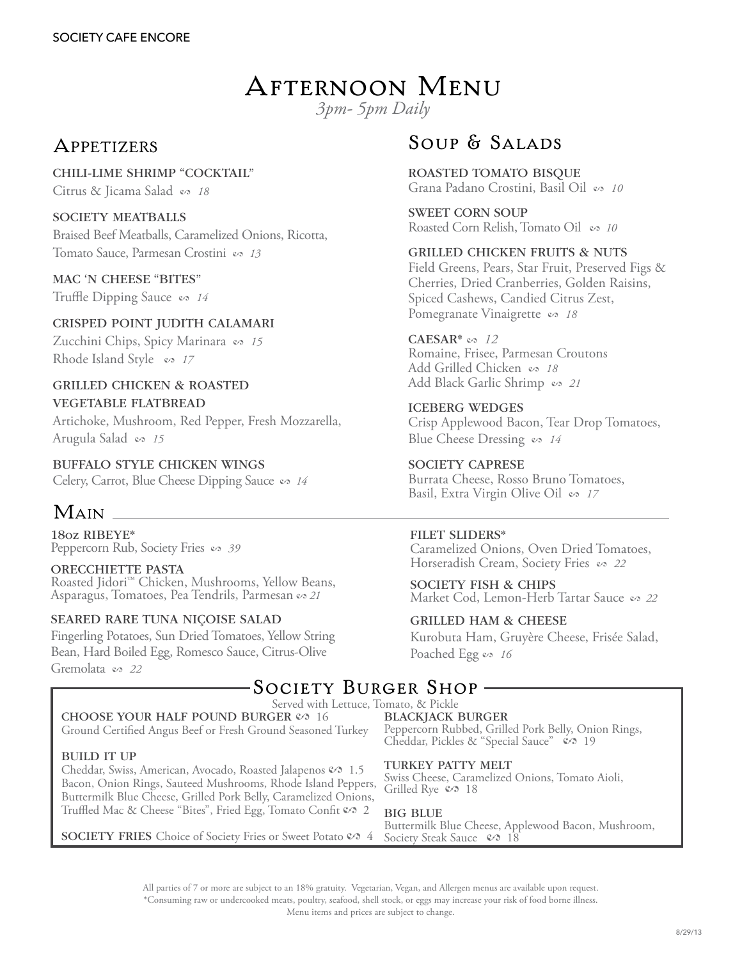# Afternoon Menu

*3pm- 5pm Daily*

# **APPETIZERS**

Chili-lime shrimp "Cocktail" Citrus & Jicama Salad  $\infty$  18

### SOCIETY MEATBALLS

Braised Beef Meatballs, Caramelized Onions, Ricotta, Tomato Sauce, Parmesan Crostini es 13

### mAC 'N cHEESE "bITES"

Truffle Dipping Sauce  $\infty$  *14* 

Crisped Point Judith Calamari Zucchini Chips, Spicy Marinara es 15 Rhode Island Style  $\infty$  17

### grilled Chicken & Roasted Vegetable Flatbread

Artichoke, Mushroom, Red Pepper, Fresh Mozzarella, Arugula Salad  $\infty$  15

Buffalo Style Chicken Wings Celery, Carrot, Blue Cheese Dipping Sauce  $\infty$  *14* 

# Main

18oz RIBEYE<sup>\*</sup><br>Peppercorn Rub, Society Fries  $\infty$  39

ORECCHIETTE PASTA Roasted Jidori™ Chicken, Mushrooms, Yellow Beans, Asparagus, Tomatoes, Pea Tendrils, Parmesan es 21

### Seared rare tuna niÇoise salad

Fingerling Potatoes, Sun Dried Tomatoes, Yellow String Bean, Hard Boiled Egg, Romesco Sauce, Citrus-Olive Gremolata es 22

# SOUP & SALADS

Roasted Tomato Bisque Grana Padano Crostini, Basil Oil & 10

Sweet Corn Soup Roasted Corn Relish, Tomato Oil  $\infty$  10

### Grilled Chicken fruits & nuts

Field Greens, Pears, Star Fruit, Preserved Figs & Cherries, Dried Cranberries, Golden Raisins, Spiced Cashews, Candied Citrus Zest, Pomegranate Vinaigrette  $\infty$  18

### CAESAR<sup>\*</sup>  $\infty$  12

Romaine, Frisee, Parmesan Croutons Add Grilled Chicken  $\infty$  18 Add Black Garlic Shrimp & 21

Iceberg Wedges Crisp Applewood Bacon, Tear Drop Tomatoes, Blue Cheese Dressing  $\infty$  *14* 

Society Caprese Burrata Cheese, Rosso Bruno Tomatoes, Basil, Extra Virgin Olive Oil  $\infty$  17

#### Filet sliders\*

Caramelized Onions, Oven Dried Tomatoes, Horseradish Cream, Society Fries es 22

SOCIETY FISH & CHIPS Market Cod, Lemon-Herb Tartar Sauce  $\infty$  22

### Grilled ham & cheese

Kurobuta Ham, Gruyère Cheese, Frisée Salad, Poached Egg  $\infty$  16

# SOCIETY BURGER SHOP.

#### Served with Lettuce, Tomato, & Pickle

CHOOSE YOUR HALF POUND BURGER  $\mathcal{O}$  16 Ground Certified Angus Beef or Fresh Ground Seasoned Turkey

#### Build it up

Cheddar, Swiss, American, Avocado, Roasted Jalapenos  $\mathcal{O}$  1.5 Bacon, Onion Rings, Sauteed Mushrooms, Rhode Island Peppers, Buttermilk Blue Cheese, Grilled Pork Belly, Caramelized Onions, Truffled Mac & Cheese "Bites", Fried Egg, Tomato Confit & 2

**SOCIETY FRIES** Choice of Society Fries or Sweet Potato  $\mathcal{S}$  4

# Blackjack Burger

Peppercorn Rubbed, Grilled Pork Belly, Onion Rings, Cheddar, Pickles & "Special Sauce"  $\bullet$  19

#### Turkey Patty Melt

Swiss Cheese, Caramelized Onions, Tomato Aioli, Grilled Rye  $\mathcal{S}$  18

#### **BIG BLUE**

Buttermilk Blue Cheese, Applewood Bacon, Mushroom, Society Steak Sauce  $\infty$  18

All parties of 7 or more are subject to an 18% gratuity. Vegetarian, Vegan, and Allergen menus are available upon request. \*Consuming raw or undercooked meats, poultry, seafood, shell stock, or eggs may increase your risk of food borne illness. Menu items and prices are subject to change.